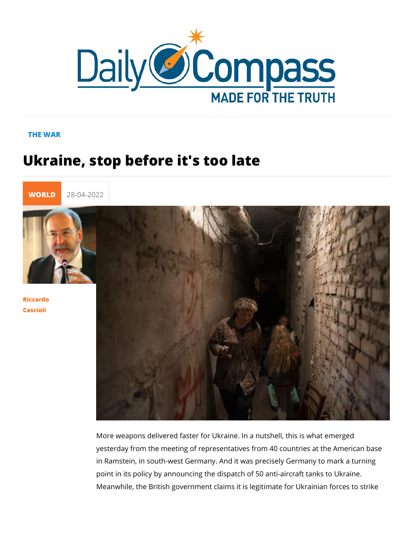## THE WAR

## Ukraine, stop before it's too late

[WORL](https://newdailycompass.com/en/world)I 28-04-2022

[Riccar](/en/riccardo-cascioli)do [Casci](/en/riccardo-cascioli)oli

> More weapons delivered faster for Ukraine. In a nutshell, this yesterday from the meeting of representatives from 40 countries in Ramstein, in south-west Germany. And it was precisely Germany point in its policy by announcing the dispatch of 50 anti-aircra Meanwhile, the British government claims it is legitimate for U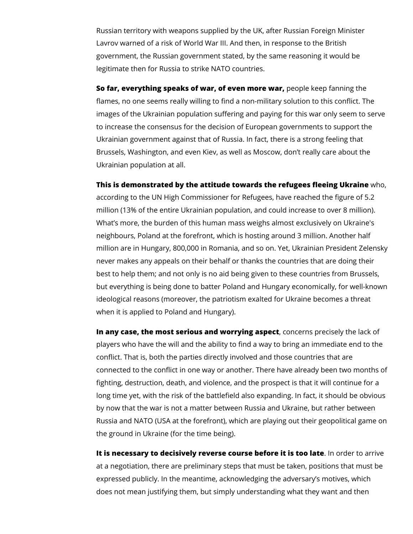Russian territory with weapons supplied by the UK, after Russian Foreign Minister Lavrov warned of a risk of World War III. And then, in response to the British government, the Russian government stated, by the same reasoning it would be legitimate then for Russia to strike NATO countries.

**So far, everything speaks of war, of even more war,** people keep fanning the flames, no one seems really willing to find a non-military solution to this conflict. The images of the Ukrainian population suffering and paying for this war only seem to serve to increase the consensus for the decision of European governments to support the Ukrainian government against that of Russia. In fact, there is a strong feeling that Brussels, Washington, and even Kiev, as well as Moscow, don't really care about the Ukrainian population at all.

**This is demonstrated by the attitude towards the refugees fleeing Ukraine** who,

according to the UN High Commissioner for Refugees, have reached the figure of 5.2 million (13% of the entire Ukrainian population, and could increase to over 8 million). What's more, the burden of this human mass weighs almost exclusively on Ukraine's neighbours, Poland at the forefront, which is hosting around 3 million. Another half million are in Hungary, 800,000 in Romania, and so on. Yet, Ukrainian President Zelensky never makes any appeals on their behalf or thanks the countries that are doing their best to help them; and not only is no aid being given to these countries from Brussels, but everything is being done to batter Poland and Hungary economically, for well-known ideological reasons (moreover, the patriotism exalted for Ukraine becomes a threat when it is applied to Poland and Hungary).

**In any case, the most serious and worrying aspect**, concerns precisely the lack of players who have the will and the ability to find a way to bring an immediate end to the conflict. That is, both the parties directly involved and those countries that are connected to the conflict in one way or another. There have already been two months of fighting, destruction, death, and violence, and the prospect is that it will continue for a long time yet, with the risk of the battlefield also expanding. In fact, it should be obvious by now that the war is not a matter between Russia and Ukraine, but rather between Russia and NATO (USA at the forefront), which are playing out their geopolitical game on the ground in Ukraine (for the time being).

**It is necessary to decisively reverse course before it is too late**. In order to arrive at a negotiation, there are preliminary steps that must be taken, positions that must be expressed publicly. In the meantime, acknowledging the adversary's motives, which does not mean justifying them, but simply understanding what they want and then